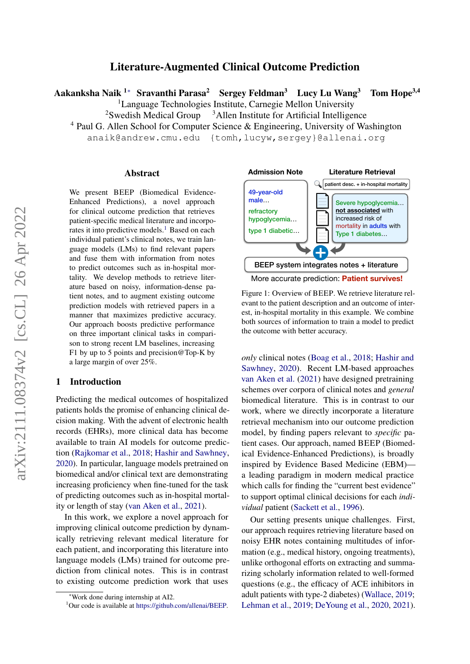# arXiv:2111.08374v2 [cs.CL] 26 Apr 2022 arXiv:2111.08374v2 [cs.CL] 26 Apr 2022

# Literature-Augmented Clinical Outcome Prediction

Aakanksha Naik  $1*$  Sravanthi Parasa<sup>2</sup> Sergey Feldman<sup>3</sup> Lucy Lu Wang<sup>3</sup> Tom Hope<sup>3,4</sup>

<sup>1</sup>Language Technologies Institute, Carnegie Mellon University

 $2S$ wedish Medical Group  $3$ Allen Institute for Artificial Intelligence

<sup>4</sup> Paul G. Allen School for Computer Science & Engineering, University of Washington

anaik@andrew.cmu.edu {tomh,lucyw,sergey}@allenai.org

#### Abstract

We present BEEP (Biomedical Evidence-Enhanced Predictions), a novel approach for clinical outcome prediction that retrieves patient-specific medical literature and incorpo-rates it into predictive models.<sup>[1](#page-0-0)</sup> Based on each individual patient's clinical notes, we train language models (LMs) to find relevant papers and fuse them with information from notes to predict outcomes such as in-hospital mortality. We develop methods to retrieve literature based on noisy, information-dense patient notes, and to augment existing outcome prediction models with retrieved papers in a manner that maximizes predictive accuracy. Our approach boosts predictive performance on three important clinical tasks in comparison to strong recent LM baselines, increasing F1 by up to 5 points and precision@Top-K by a large margin of over 25%.

## 1 Introduction

Predicting the medical outcomes of hospitalized patients holds the promise of enhancing clinical decision making. With the advent of electronic health records (EHRs), more clinical data has become available to train AI models for outcome prediction [\(Rajkomar et al.,](#page-10-0) [2018;](#page-10-0) [Hashir and Sawhney,](#page-9-0) [2020\)](#page-9-0). In particular, language models pretrained on biomedical and/or clinical text are demonstrating increasing proficiency when fine-tuned for the task of predicting outcomes such as in-hospital mortality or length of stay [\(van Aken et al.,](#page-10-1) [2021\)](#page-10-1).

In this work, we explore a novel approach for improving clinical outcome prediction by dynamically retrieving relevant medical literature for each patient, and incorporating this literature into language models (LMs) trained for outcome prediction from clinical notes. This is in contrast to existing outcome prediction work that uses

<span id="page-0-1"></span>

Figure 1: Overview of BEEP. We retrieve literature relevant to the patient description and an outcome of interest, in-hospital mortality in this example. We combine both sources of information to train a model to predict the outcome with better accuracy.

*only* clinical notes [\(Boag et al.,](#page-8-0) [2018;](#page-8-0) [Hashir and](#page-9-0) [Sawhney,](#page-9-0) [2020\)](#page-9-0). Recent LM-based approaches [van Aken et al.](#page-10-1) [\(2021\)](#page-10-1) have designed pretraining schemes over corpora of clinical notes and *general* biomedical literature. This is in contrast to our work, where we directly incorporate a literature retrieval mechanism into our outcome prediction model, by finding papers relevant to *specific* patient cases. Our approach, named BEEP (Biomedical Evidence-Enhanced Predictions), is broadly inspired by Evidence Based Medicine (EBM) a leading paradigm in modern medical practice which calls for finding the "current best evidence" to support optimal clinical decisions for each *individual* patient [\(Sackett et al.,](#page-10-2) [1996\)](#page-10-2).

Our setting presents unique challenges. First, our approach requires retrieving literature based on noisy EHR notes containing multitudes of information (e.g., medical history, ongoing treatments), unlike orthogonal efforts on extracting and summarizing scholarly information related to well-formed questions (e.g., the efficacy of ACE inhibitors in adult patients with type-2 diabetes) [\(Wallace,](#page-10-3) [2019;](#page-10-3) [Lehman et al.,](#page-9-1) [2019;](#page-9-1) [DeYoung et al.,](#page-9-2) [2020,](#page-9-2) [2021\)](#page-9-3).

<sup>∗</sup>Work done during internship at AI2.

<span id="page-0-0"></span><sup>&</sup>lt;sup>1</sup>Our code is available at [https://github.com/allenai/BEEP.](https://github.com/allenai/BEEP)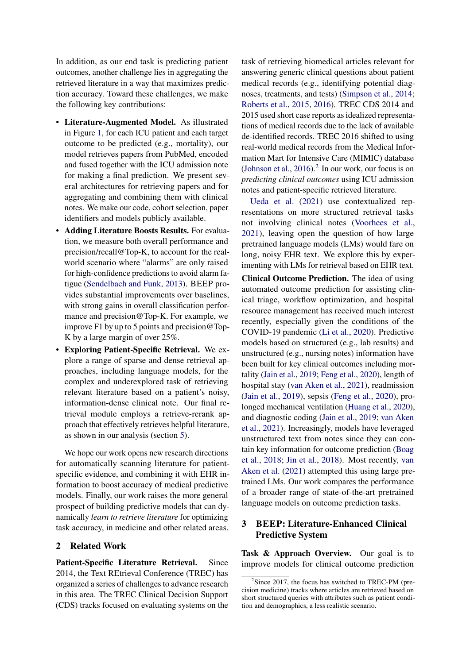In addition, as our end task is predicting patient outcomes, another challenge lies in aggregating the retrieved literature in a way that maximizes prediction accuracy. Toward these challenges, we make the following key contributions:

- Literature-Augmented Model. As illustrated in Figure [1,](#page-0-1) for each ICU patient and each target outcome to be predicted (e.g., mortality), our model retrieves papers from PubMed, encoded and fused together with the ICU admission note for making a final prediction. We present several architectures for retrieving papers and for aggregating and combining them with clinical notes. We make our code, cohort selection, paper identifiers and models publicly available.
- Adding Literature Boosts Results. For evaluation, we measure both overall performance and precision/recall@Top-K, to account for the realworld scenario where "alarms" are only raised for high-confidence predictions to avoid alarm fatigue [\(Sendelbach and Funk,](#page-10-4) [2013\)](#page-10-4). BEEP provides substantial improvements over baselines, with strong gains in overall classification performance and precision@Top-K. For example, we improve F1 by up to 5 points and precision@Top-K by a large margin of over 25%.
- Exploring Patient-Specific Retrieval. We explore a range of sparse and dense retrieval approaches, including language models, for the complex and underexplored task of retrieving relevant literature based on a patient's noisy, information-dense clinical note. Our final retrieval module employs a retrieve-rerank approach that effectively retrieves helpful literature, as shown in our analysis (section [5\)](#page-6-0).

We hope our work opens new research directions for automatically scanning literature for patientspecific evidence, and combining it with EHR information to boost accuracy of medical predictive models. Finally, our work raises the more general prospect of building predictive models that can dynamically *learn to retrieve literature* for optimizing task accuracy, in medicine and other related areas.

## 2 Related Work

Patient-Specific Literature Retrieval. Since 2014, the Text REtrieval Conference (TREC) has organized a series of challenges to advance research in this area. The TREC Clinical Decision Support (CDS) tracks focused on evaluating systems on the task of retrieving biomedical articles relevant for answering generic clinical questions about patient medical records (e.g., identifying potential diagnoses, treatments, and tests) [\(Simpson et al.,](#page-10-5) [2014;](#page-10-5) [Roberts et al.,](#page-10-6) [2015,](#page-10-6) [2016\)](#page-10-7). TREC CDS 2014 and 2015 used short case reports as idealized representations of medical records due to the lack of available de-identified records. TREC 2016 shifted to using real-world medical records from the Medical Information Mart for Intensive Care (MIMIC) database [\(Johnson et al.,](#page-9-4)  $2016$  $2016$ ).<sup>2</sup> In our work, our focus is on *predicting clinical outcomes* using ICU admission notes and patient-specific retrieved literature.

[Ueda et al.](#page-10-8) [\(2021\)](#page-10-8) use contextualized representations on more structured retrieval tasks not involving clinical notes [\(Voorhees et al.,](#page-10-9) [2021\)](#page-10-9), leaving open the question of how large pretrained language models (LMs) would fare on long, noisy EHR text. We explore this by experimenting with LMs for retrieval based on EHR text.

Clinical Outcome Prediction. The idea of using automated outcome prediction for assisting clinical triage, workflow optimization, and hospital resource management has received much interest recently, especially given the conditions of the COVID-19 pandemic [\(Li et al.,](#page-10-10) [2020\)](#page-10-10). Predictive models based on structured (e.g., lab results) and unstructured (e.g., nursing notes) information have been built for key clinical outcomes including mortality [\(Jain et al.,](#page-9-5) [2019;](#page-9-5) [Feng et al.,](#page-9-6) [2020\)](#page-9-6), length of hospital stay [\(van Aken et al.,](#page-10-1) [2021\)](#page-10-1), readmission [\(Jain et al.,](#page-9-5) [2019\)](#page-9-5), sepsis [\(Feng et al.,](#page-9-6) [2020\)](#page-9-6), prolonged mechanical ventilation [\(Huang et al.,](#page-9-7) [2020\)](#page-9-7), and diagnostic coding [\(Jain et al.,](#page-9-5) [2019;](#page-9-5) [van Aken](#page-10-1) [et al.,](#page-10-1) [2021\)](#page-10-1). Increasingly, models have leveraged unstructured text from notes since they can contain key information for outcome prediction [\(Boag](#page-8-0) [et al.,](#page-8-0) [2018;](#page-8-0) [Jin et al.,](#page-9-8) [2018\)](#page-9-8). Most recently, [van](#page-10-1) [Aken et al.](#page-10-1) [\(2021\)](#page-10-1) attempted this using large pretrained LMs. Our work compares the performance of a broader range of state-of-the-art pretrained language models on outcome prediction tasks.

# 3 BEEP: Literature-Enhanced Clinical Predictive System

Task & Approach Overview. Our goal is to improve models for clinical outcome prediction

<span id="page-1-0"></span><sup>&</sup>lt;sup>2</sup>Since 2017, the focus has switched to TREC-PM (precision medicine) tracks where articles are retrieved based on short structured queries with attributes such as patient condition and demographics, a less realistic scenario.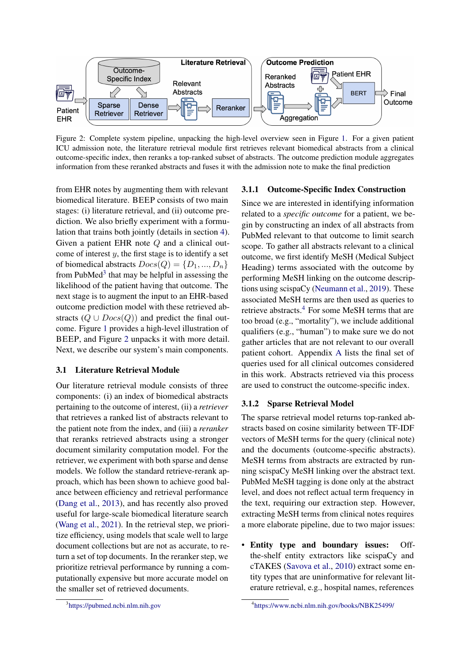<span id="page-2-1"></span>

Figure 2: Complete system pipeline, unpacking the high-level overview seen in Figure [1.](#page-0-1) For a given patient ICU admission note, the literature retrieval module first retrieves relevant biomedical abstracts from a clinical outcome-specific index, then reranks a top-ranked subset of abstracts. The outcome prediction module aggregates information from these reranked abstracts and fuses it with the admission note to make the final prediction

from EHR notes by augmenting them with relevant biomedical literature. BEEP consists of two main stages: (i) literature retrieval, and (ii) outcome prediction. We also briefly experiment with a formulation that trains both jointly (details in section [4\)](#page-4-0). Given a patient EHR note Q and a clinical outcome of interest  $y$ , the first stage is to identify a set of biomedical abstracts  $Docs(Q) = \{D_1, ..., D_n\}$ from PubMed $3$  that may be helpful in assessing the likelihood of the patient having that outcome. The next stage is to augment the input to an EHR-based outcome prediction model with these retrieved abstracts  $(Q \cup \text{Docs}(Q))$  and predict the final outcome. Figure [1](#page-0-1) provides a high-level illustration of BEEP, and Figure [2](#page-2-1) unpacks it with more detail. Next, we describe our system's main components.

## 3.1 Literature Retrieval Module

Our literature retrieval module consists of three components: (i) an index of biomedical abstracts pertaining to the outcome of interest, (ii) a *retriever* that retrieves a ranked list of abstracts relevant to the patient note from the index, and (iii) a *reranker* that reranks retrieved abstracts using a stronger document similarity computation model. For the retriever, we experiment with both sparse and dense models. We follow the standard retrieve-rerank approach, which has been shown to achieve good balance between efficiency and retrieval performance [\(Dang et al.,](#page-9-9) [2013\)](#page-9-9), and has recently also proved useful for large-scale biomedical literature search [\(Wang et al.,](#page-10-11) [2021\)](#page-10-11). In the retrieval step, we prioritize efficiency, using models that scale well to large document collections but are not as accurate, to return a set of top documents. In the reranker step, we prioritize retrieval performance by running a computationally expensive but more accurate model on the smaller set of retrieved documents.

#### 3.1.1 Outcome-Specific Index Construction

Since we are interested in identifying information related to a *specific outcome* for a patient, we begin by constructing an index of all abstracts from PubMed relevant to that outcome to limit search scope. To gather all abstracts relevant to a clinical outcome, we first identify MeSH (Medical Subject Heading) terms associated with the outcome by performing MeSH linking on the outcome descriptions using scispaCy [\(Neumann et al.,](#page-10-12) [2019\)](#page-10-12). These associated MeSH terms are then used as queries to retrieve abstracts.[4](#page-2-2) For some MeSH terms that are too broad (e.g., "mortality"), we include additional qualifiers (e.g., "human") to make sure we do not gather articles that are not relevant to our overall patient cohort. Appendix [A](#page-10-13) lists the final set of queries used for all clinical outcomes considered in this work. Abstracts retrieved via this process are used to construct the outcome-specific index.

#### 3.1.2 Sparse Retrieval Model

The sparse retrieval model returns top-ranked abstracts based on cosine similarity between TF-IDF vectors of MeSH terms for the query (clinical note) and the documents (outcome-specific abstracts). MeSH terms from abstracts are extracted by running scispaCy MeSH linking over the abstract text. PubMed MeSH tagging is done only at the abstract level, and does not reflect actual term frequency in the text, requiring our extraction step. However, extracting MeSH terms from clinical notes requires a more elaborate pipeline, due to two major issues:

• Entity type and boundary issues: Offthe-shelf entity extractors like scispaCy and cTAKES [\(Savova et al.,](#page-10-14) [2010\)](#page-10-14) extract some entity types that are uninformative for relevant literature retrieval, e.g., hospital names, references

<span id="page-2-0"></span><sup>3</sup> <https://pubmed.ncbi.nlm.nih.gov>

<span id="page-2-2"></span><sup>4</sup> <https://www.ncbi.nlm.nih.gov/books/NBK25499/>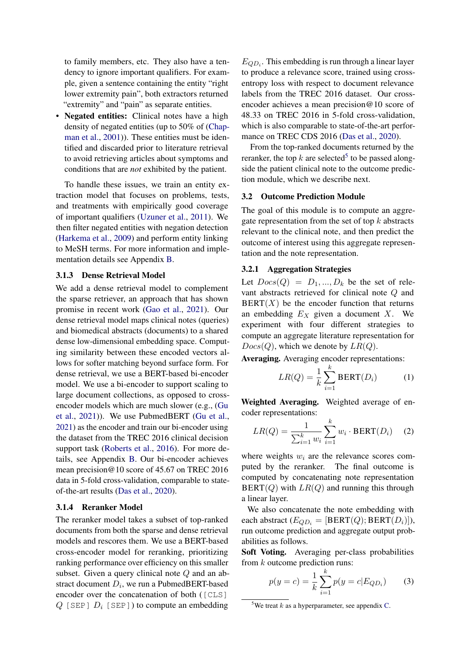to family members, etc. They also have a tendency to ignore important qualifiers. For example, given a sentence containing the entity "right lower extremity pain", both extractors returned "extremity" and "pain" as separate entities.

• Negated entities: Clinical notes have a high density of negated entities (up to 50% of [\(Chap](#page-8-1)[man et al.,](#page-8-1) [2001\)](#page-8-1)). These entities must be identified and discarded prior to literature retrieval to avoid retrieving articles about symptoms and conditions that are *not* exhibited by the patient.

To handle these issues, we train an entity extraction model that focuses on problems, tests, and treatments with empirically good coverage of important qualifiers [\(Uzuner et al.,](#page-10-15) [2011\)](#page-10-15). We then filter negated entities with negation detection [\(Harkema et al.,](#page-9-10) [2009\)](#page-9-10) and perform entity linking to MeSH terms. For more information and implementation details see Appendix [B.](#page-11-0)

#### 3.1.3 Dense Retrieval Model

We add a dense retrieval model to complement the sparse retriever, an approach that has shown promise in recent work [\(Gao et al.,](#page-9-11) [2021\)](#page-9-11). Our dense retrieval model maps clinical notes (queries) and biomedical abstracts (documents) to a shared dense low-dimensional embedding space. Computing similarity between these encoded vectors allows for softer matching beyond surface form. For dense retrieval, we use a BERT-based bi-encoder model. We use a bi-encoder to support scaling to large document collections, as opposed to crossencoder models which are much slower (e.g., [\(Gu](#page-9-12) [et al.,](#page-9-12) [2021\)](#page-9-12)). We use PubmedBERT [\(Gu et al.,](#page-9-12) [2021\)](#page-9-12) as the encoder and train our bi-encoder using the dataset from the TREC 2016 clinical decision support task [\(Roberts et al.,](#page-10-7) [2016\)](#page-10-7). For more details, see Appendix [B.](#page-11-0) Our bi-encoder achieves mean precision@10 score of 45.67 on TREC 2016 data in 5-fold cross-validation, comparable to stateof-the-art results [\(Das et al.,](#page-9-13) [2020\)](#page-9-13).

## 3.1.4 Reranker Model

The reranker model takes a subset of top-ranked documents from both the sparse and dense retrieval models and rescores them. We use a BERT-based cross-encoder model for reranking, prioritizing ranking performance over efficiency on this smaller subset. Given a query clinical note Q and an abstract document  $D_i$ , we run a PubmedBERT-based encoder over the concatenation of both ( $[CLS]$  $Q$  [SEP]  $D_i$  [SEP]) to compute an embedding

 $E_{QD_i}$ . This embedding is run through a linear layer to produce a relevance score, trained using crossentropy loss with respect to document relevance labels from the TREC 2016 dataset. Our crossencoder achieves a mean precision@10 score of 48.33 on TREC 2016 in 5-fold cross-validation, which is also comparable to state-of-the-art perfor-mance on TREC CDS 2016 [\(Das et al.,](#page-9-13) [2020\)](#page-9-13).

From the top-ranked documents returned by the reranker, the top k are selected<sup>[5](#page-3-0)</sup> to be passed alongside the patient clinical note to the outcome prediction module, which we describe next.

#### 3.2 Outcome Prediction Module

The goal of this module is to compute an aggregate representation from the set of top  $k$  abstracts relevant to the clinical note, and then predict the outcome of interest using this aggregate representation and the note representation.

#### 3.2.1 Aggregation Strategies

Let  $Docs(Q) = D_1, ..., D_k$  be the set of relevant abstracts retrieved for clinical note Q and  $BERT(X)$  be the encoder function that returns an embedding  $E_X$  given a document X. We experiment with four different strategies to compute an aggregate literature representation for  $Docs(Q)$ , which we denote by  $LR(Q)$ .

Averaging. Averaging encoder representations:

$$
LR(Q) = \frac{1}{k} \sum_{i=1}^{k} \text{BERT}(D_i)
$$
 (1)

Weighted Averaging. Weighted average of encoder representations:

$$
LR(Q) = \frac{1}{\sum_{i=1}^{k} w_i} \sum_{i=1}^{k} w_i \cdot \text{BERT}(D_i) \quad (2)
$$

where weights  $w_i$  are the relevance scores computed by the reranker. The final outcome is computed by concatenating note representation  $BERT(Q)$  with  $LR(Q)$  and running this through a linear layer.

We also concatenate the note embedding with each abstract  $(E_{QD_i} = [BERT(Q);BERT(D_i)]$ ), run outcome prediction and aggregate output probabilities as follows.

Soft Voting. Averaging per-class probabilities from  $k$  outcome prediction runs:

$$
p(y = c) = \frac{1}{k} \sum_{i=1}^{k} p(y = c | E_{QD_i})
$$
 (3)

<span id="page-3-0"></span><sup>&</sup>lt;sup>5</sup>We treat  $k$  as a hyperparameter, see appendix [C.](#page-11-1)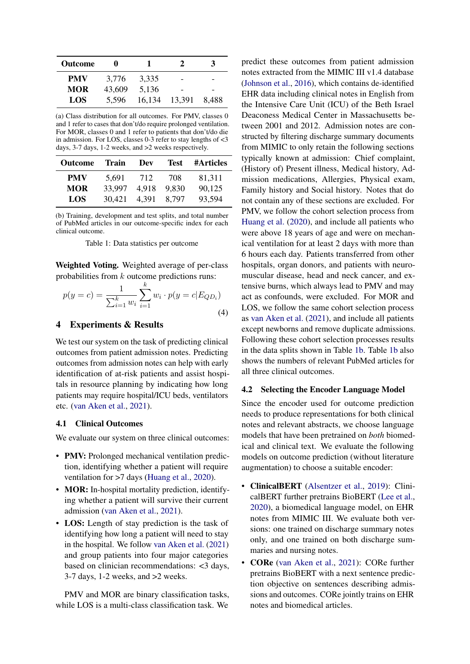<span id="page-4-1"></span>

| <b>Outcome</b> | o      |        | 2      |       |  |
|----------------|--------|--------|--------|-------|--|
| <b>PMV</b>     | 3.776  | 3.335  | -      |       |  |
| <b>MOR</b>     | 43,609 | 5,136  | -      | -     |  |
| LOS            | 5.596  | 16,134 | 13,391 | 8.488 |  |

(a) Class distribution for all outcomes. For PMV, classes 0 and 1 refer to cases that don't/do require prolonged ventilation. For MOR, classes 0 and 1 refer to patients that don't/do die in admission. For LOS, classes 0-3 refer to stay lengths of <3 days, 3-7 days, 1-2 weeks, and >2 weeks respectively.

| <b>Outcome</b> | Train  | Dev   | <b>Test</b> | <b>#Articles</b> |  |
|----------------|--------|-------|-------------|------------------|--|
| <b>PMV</b>     | 5.691  | 712   | 708         | 81,311           |  |
| <b>MOR</b>     | 33.997 | 4.918 | 9.830       | 90,125           |  |
| LOS            | 30,421 | 4.391 | 8.797       | 93,594           |  |

(b) Training, development and test splits, and total number of PubMed articles in our outcome-specific index for each clinical outcome.

Table 1: Data statistics per outcome

Weighted Voting. Weighted average of per-class probabilities from k outcome predictions runs:

$$
p(y = c) = \frac{1}{\sum_{i=1}^{k} w_i} \sum_{i=1}^{k} w_i \cdot p(y = c | E_{QD_i})
$$
\n(4)

## <span id="page-4-0"></span>4 Experiments & Results

We test our system on the task of predicting clinical outcomes from patient admission notes. Predicting outcomes from admission notes can help with early identification of at-risk patients and assist hospitals in resource planning by indicating how long patients may require hospital/ICU beds, ventilators etc. [\(van Aken et al.,](#page-10-1) [2021\)](#page-10-1).

## 4.1 Clinical Outcomes

We evaluate our system on three clinical outcomes:

- PMV: Prolonged mechanical ventilation prediction, identifying whether a patient will require ventilation for >7 days [\(Huang et al.,](#page-9-7) [2020\)](#page-9-7).
- MOR: In-hospital mortality prediction, identifying whether a patient will survive their current admission [\(van Aken et al.,](#page-10-1) [2021\)](#page-10-1).
- LOS: Length of stay prediction is the task of identifying how long a patient will need to stay in the hospital. We follow [van Aken et al.](#page-10-1) [\(2021\)](#page-10-1) and group patients into four major categories based on clinician recommendations: <3 days, 3-7 days, 1-2 weeks, and >2 weeks.

PMV and MOR are binary classification tasks, while LOS is a multi-class classification task. We

predict these outcomes from patient admission notes extracted from the MIMIC III v1.4 database [\(Johnson et al.,](#page-9-4) [2016\)](#page-9-4), which contains de-identified EHR data including clinical notes in English from the Intensive Care Unit (ICU) of the Beth Israel Deaconess Medical Center in Massachusetts between 2001 and 2012. Admission notes are constructed by filtering discharge summary documents from MIMIC to only retain the following sections typically known at admission: Chief complaint, (History of) Present illness, Medical history, Admission medications, Allergies, Physical exam, Family history and Social history. Notes that do not contain any of these sections are excluded. For PMV, we follow the cohort selection process from [Huang et al.](#page-9-7) [\(2020\)](#page-9-7), and include all patients who were above 18 years of age and were on mechanical ventilation for at least 2 days with more than 6 hours each day. Patients transferred from other hospitals, organ donors, and patients with neuromuscular disease, head and neck cancer, and extensive burns, which always lead to PMV and may act as confounds, were excluded. For MOR and LOS, we follow the same cohort selection process as [van Aken et al.](#page-10-1) [\(2021\)](#page-10-1), and include all patients except newborns and remove duplicate admissions. Following these cohort selection processes results in the data splits shown in Table [1b.](#page-4-1) Table [1b](#page-4-1) also shows the numbers of relevant PubMed articles for all three clinical outcomes.

#### 4.2 Selecting the Encoder Language Model

Since the encoder used for outcome prediction needs to produce representations for both clinical notes and relevant abstracts, we choose language models that have been pretrained on *both* biomedical and clinical text. We evaluate the following models on outcome prediction (without literature augmentation) to choose a suitable encoder:

- ClinicalBERT [\(Alsentzer et al.,](#page-8-2) [2019\)](#page-8-2): ClinicalBERT further pretrains BioBERT [\(Lee et al.,](#page-9-14) [2020\)](#page-9-14), a biomedical language model, on EHR notes from MIMIC III. We evaluate both versions: one trained on discharge summary notes only, and one trained on both discharge summaries and nursing notes.
- **CORe** [\(van Aken et al.,](#page-10-1) [2021\)](#page-10-1): CORe further pretrains BioBERT with a next sentence prediction objective on sentences describing admissions and outcomes. CORe jointly trains on EHR notes and biomedical articles.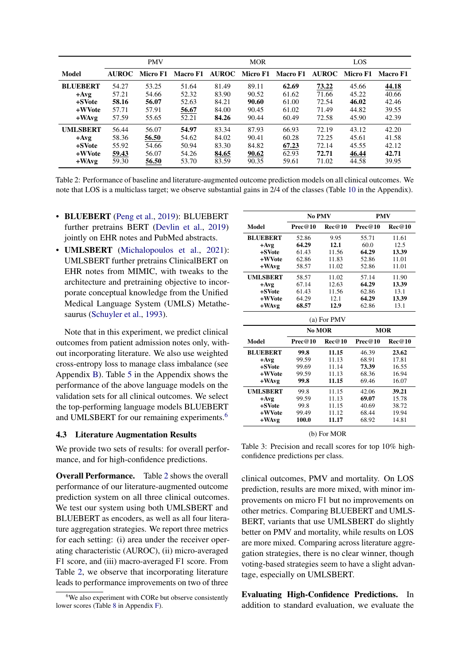<span id="page-5-1"></span>

|                 |              | <b>PMV</b> |                 |       | <b>MOR</b> |                         |              | LOS      |          |  |
|-----------------|--------------|------------|-----------------|-------|------------|-------------------------|--------------|----------|----------|--|
| Model           | <b>AUROC</b> | Micro F1   | <b>Macro F1</b> |       |            | AUROC Micro F1 Macro F1 | <b>AUROC</b> | Micro F1 | Macro F1 |  |
| <b>BLUEBERT</b> | 54.27        | 53.25      | 51.64           | 81.49 | 89.11      | 62.69                   | 73.22        | 45.66    | 44.18    |  |
| $+Avg$          | 57.21        | 54.66      | 52.32           | 83.90 | 90.52      | 61.62                   | 71.66        | 45.22    | 40.66    |  |
| +SVote          | 58.16        | 56.07      | 52.63           | 84.21 | 90.60      | 61.00                   | 72.54        | 46.02    | 42.46    |  |
| +WVote          | 57.71        | 57.91      | 56.67           | 84.00 | 90.45      | 61.02                   | 71.49        | 44.82    | 39.55    |  |
| $+$ WAvg        | 57.59        | 55.65      | 52.21           | 84.26 | 90.44      | 60.49                   | 72.58        | 45.90    | 42.39    |  |
| <b>UMLSBERT</b> | 56.44        | 56.07      | 54.97           | 83.34 | 87.93      | 66.93                   | 72.19        | 43.12    | 42.20    |  |
| $+Avg$          | 58.36        | 56.50      | 54.62           | 84.02 | 90.41      | 60.28                   | 72.25        | 45.61    | 41.58    |  |
| +SVote          | 55.92        | 54.66      | 50.94           | 83.30 | 84.82      | 67.23                   | 72.14        | 45.55    | 42.12    |  |
| +WVote          | 59.43        | 56.07      | 54.26           | 84.65 | 90.62      | 62.93                   | 72.71        | 46.44    | 42.71    |  |
| $+$ WAvg        | 59.30        | 56.50      | 53.70           | 83.59 | 90.35      | 59.61                   | 71.02        | 44.58    | 39.95    |  |

Table 2: Performance of baseline and literature-augmented outcome prediction models on all clinical outcomes. We note that LOS is a multiclass target; we observe substantial gains in 2/4 of the classes (Table [10](#page-13-0) in the Appendix).

- BLUEBERT [\(Peng et al.,](#page-10-16) [2019\)](#page-10-16): BLUEBERT further pretrains BERT [\(Devlin et al.,](#page-9-15) [2019\)](#page-9-15) jointly on EHR notes and PubMed abstracts.
- UMLSBERT [\(Michalopoulos et al.,](#page-10-17) [2021\)](#page-10-17): UMLSBERT further pretrains ClinicalBERT on EHR notes from MIMIC, with tweaks to the architecture and pretraining objective to incorporate conceptual knowledge from the Unified Medical Language System (UMLS) Metathesaurus [\(Schuyler et al.,](#page-10-18) [1993\)](#page-10-18).

Note that in this experiment, we predict clinical outcomes from patient admission notes only, without incorporating literature. We also use weighted cross-entropy loss to manage class imbalance (see Appendix [B\)](#page-11-0). Table [5](#page-12-0) in the Appendix shows the performance of the above language models on the validation sets for all clinical outcomes. We select the top-performing language models BLUEBERT and UMLSBERT for our remaining experiments.<sup>[6](#page-5-0)</sup>

#### 4.3 Literature Augmentation Results

We provide two sets of results: for overall performance, and for high-confidence predictions.

Overall Performance. Table [2](#page-5-1) shows the overall performance of our literature-augmented outcome prediction system on all three clinical outcomes. We test our system using both UMLSBERT and BLUEBERT as encoders, as well as all four literature aggregation strategies. We report three metrics for each setting: (i) area under the receiver operating characteristic (AUROC), (ii) micro-averaged F1 score, and (iii) macro-averaged F1 score. From Table [2,](#page-5-1) we observe that incorporating literature leads to performance improvements on two of three

<span id="page-5-2"></span>

|                 | No PMV  |        | <b>PMV</b> |        |  |  |
|-----------------|---------|--------|------------|--------|--|--|
| Model           | Prec@10 | Rec@10 | Prec@10    | Rec@10 |  |  |
| <b>BLUEBERT</b> | 52.86   | 9.95   | 55.71      | 11.61  |  |  |
| $+Avg$          | 64.29   | 12.1   | 60.0       | 12.5   |  |  |
| +SVote          | 61.43   | 11.56  | 64.29      | 13.39  |  |  |
| +WVote          | 62.86   | 11.83  | 52.86      | 11.01  |  |  |
| $+$ WAvg        | 58.57   | 11.02  | 52.86      | 11.01  |  |  |
| <b>UMLSBERT</b> | 58.57   | 11.02  | 57.14      | 11.90  |  |  |
| $+Avg$          | 67.14   | 12.63  | 64.29      | 13.39  |  |  |
| +SVote          | 61.43   | 11.56  | 62.86      | 13.1   |  |  |
| +WVote          | 64.29   | 12.1   | 64.29      | 13.39  |  |  |
| $+$ W $Avg$     | 68.57   | 12.9   | 62.86      | 13.1   |  |  |

| (a) For PMV     |                |        |            |        |  |  |  |  |  |
|-----------------|----------------|--------|------------|--------|--|--|--|--|--|
|                 | No MOR         |        | <b>MOR</b> |        |  |  |  |  |  |
| Model           | Prec@10        | Rec@10 | Prec@10    | Rec@10 |  |  |  |  |  |
| <b>BLUEBERT</b> | 99.8           | 11.15  | 46.39      | 23.62  |  |  |  |  |  |
| $+Avg$          | 99.59          | 11.13  | 68.91      | 17.81  |  |  |  |  |  |
| +SVote          | 99.69          | 11.14  | 73.39      | 16.55  |  |  |  |  |  |
| +WVote          | 99.59<br>11.13 |        | 68.36      | 16.94  |  |  |  |  |  |
| +WAvg           | 99.8           | 11.15  | 69.46      | 16.07  |  |  |  |  |  |
| <b>UMLSBERT</b> | 99.8           | 11.15  | 42.06      | 39.21  |  |  |  |  |  |
| $+Avg$          | 99.59          | 11.13  | 69.07      | 15.78  |  |  |  |  |  |
| +SVote          | 99.8           | 11.15  | 40.69      | 38.72  |  |  |  |  |  |
| +WVote          | 99.49          | 11.12  | 68.44      | 19.94  |  |  |  |  |  |
| $+$ W $Avg$     | 100.0          | 11.17  | 68.92      | 14.81  |  |  |  |  |  |

#### (b) For MOR

Table 3: Precision and recall scores for top 10% highconfidence predictions per class.

clinical outcomes, PMV and mortality. On LOS prediction, results are more mixed, with minor improvements on micro F1 but no improvements on other metrics. Comparing BLUEBERT and UMLS-BERT, variants that use UMLSBERT do slightly better on PMV and mortality, while results on LOS are more mixed. Comparing across literature aggregation strategies, there is no clear winner, though voting-based strategies seem to have a slight advantage, especially on UMLSBERT.

Evaluating High-Confidence Predictions. In addition to standard evaluation, we evaluate the

<span id="page-5-0"></span> $6$ We also experiment with CORe but observe consistently lower scores (Table [8](#page-13-1) in Appendix [F\)](#page-12-1).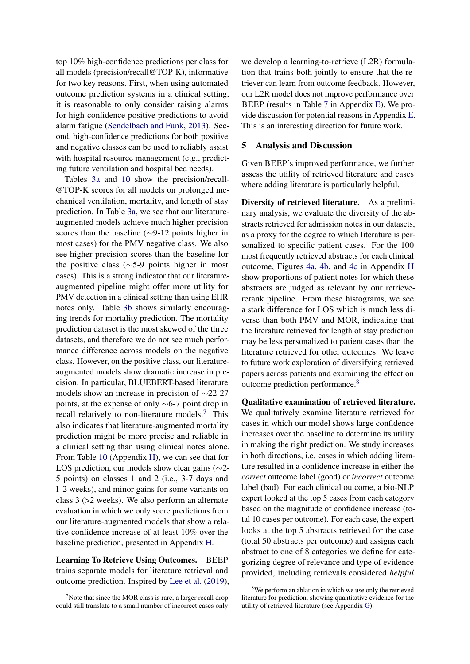top 10% high-confidence predictions per class for all models (precision/recall@TOP-K), informative for two key reasons. First, when using automated outcome prediction systems in a clinical setting, it is reasonable to only consider raising alarms for high-confidence positive predictions to avoid alarm fatigue [\(Sendelbach and Funk,](#page-10-4) [2013\)](#page-10-4). Second, high-confidence predictions for both positive and negative classes can be used to reliably assist with hospital resource management (e.g., predicting future ventilation and hospital bed needs).

Tables [3a](#page-5-2) and [10](#page-13-0) show the precision/recall- @TOP-K scores for all models on prolonged mechanical ventilation, mortality, and length of stay prediction. In Table [3a,](#page-5-2) we see that our literatureaugmented models achieve much higher precision scores than the baseline (∼9-12 points higher in most cases) for the PMV negative class. We also see higher precision scores than the baseline for the positive class (∼5-9 points higher in most cases). This is a strong indicator that our literatureaugmented pipeline might offer more utility for PMV detection in a clinical setting than using EHR notes only. Table [3b](#page-5-2) shows similarly encouraging trends for mortality prediction. The mortality prediction dataset is the most skewed of the three datasets, and therefore we do not see much performance difference across models on the negative class. However, on the positive class, our literatureaugmented models show dramatic increase in precision. In particular, BLUEBERT-based literature models show an increase in precision of ∼22-27 points, at the expense of only ∼6-7 point drop in recall relatively to non-literature models.<sup>[7](#page-6-1)</sup> This also indicates that literature-augmented mortality prediction might be more precise and reliable in a clinical setting than using clinical notes alone. From Table [10](#page-13-0) (Appendix [H\)](#page-14-0), we can see that for LOS prediction, our models show clear gains (∼2- 5 points) on classes 1 and 2 (i.e., 3-7 days and 1-2 weeks), and minor gains for some variants on class 3 (>2 weeks). We also perform an alternate evaluation in which we only score predictions from our literature-augmented models that show a relative confidence increase of at least 10% over the baseline prediction, presented in Appendix [H.](#page-14-0)

Learning To Retrieve Using Outcomes. BEEP trains separate models for literature retrieval and outcome prediction. Inspired by [Lee et al.](#page-9-16) [\(2019\)](#page-9-16), we develop a learning-to-retrieve (L2R) formulation that trains both jointly to ensure that the retriever can learn from outcome feedback. However, our L2R model does not improve performance over BEEP (results in Table [7](#page-13-2) in Appendix [E\)](#page-12-2). We provide discussion for potential reasons in Appendix [E.](#page-12-2) This is an interesting direction for future work.

## <span id="page-6-0"></span>5 Analysis and Discussion

Given BEEP's improved performance, we further assess the utility of retrieved literature and cases where adding literature is particularly helpful.

Diversity of retrieved literature. As a preliminary analysis, we evaluate the diversity of the abstracts retrieved for admission notes in our datasets, as a proxy for the degree to which literature is personalized to specific patient cases. For the 100 most frequently retrieved abstracts for each clinical outcome, Figures [4a,](#page-15-0) [4b,](#page-15-0) and [4c](#page-15-0) in Appendix [H](#page-14-0) show proportions of patient notes for which these abstracts are judged as relevant by our retrievererank pipeline. From these histograms, we see a stark difference for LOS which is much less diverse than both PMV and MOR, indicating that the literature retrieved for length of stay prediction may be less personalized to patient cases than the literature retrieved for other outcomes. We leave to future work exploration of diversifying retrieved papers across patients and examining the effect on outcome prediction performance.[8](#page-6-2)

Qualitative examination of retrieved literature. We qualitatively examine literature retrieved for cases in which our model shows large confidence increases over the baseline to determine its utility in making the right prediction. We study increases in both directions, i.e. cases in which adding literature resulted in a confidence increase in either the *correct* outcome label (good) or *incorrect* outcome label (bad). For each clinical outcome, a bio-NLP expert looked at the top 5 cases from each category based on the magnitude of confidence increase (total 10 cases per outcome). For each case, the expert looks at the top 5 abstracts retrieved for the case (total 50 abstracts per outcome) and assigns each abstract to one of 8 categories we define for categorizing degree of relevance and type of evidence provided, including retrievals considered *helpful*

<span id="page-6-1"></span>Note that since the MOR class is rare, a larger recall drop could still translate to a small number of incorrect cases only

<span id="page-6-2"></span><sup>&</sup>lt;sup>8</sup>We perform an ablation in which we use only the retrieved literature for prediction, showing quantitative evidence for the utility of retrieved literature (see Appendix [G\)](#page-14-1).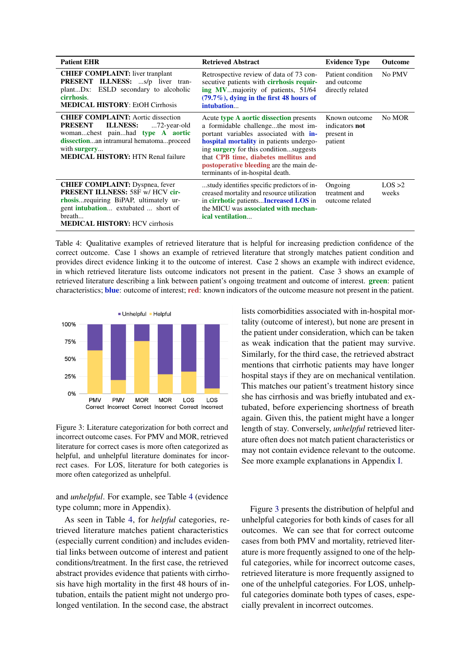<span id="page-7-0"></span>

| <b>Patient EHR</b>                                                                                                                                                                                                                               | <b>Retrieved Abstract</b>                                                                                                                                                                                                                                                                                                          | <b>Evidence Type</b>                                            | <b>Outcome</b>  |
|--------------------------------------------------------------------------------------------------------------------------------------------------------------------------------------------------------------------------------------------------|------------------------------------------------------------------------------------------------------------------------------------------------------------------------------------------------------------------------------------------------------------------------------------------------------------------------------------|-----------------------------------------------------------------|-----------------|
| <b>CHIEF COMPLAINT:</b> liver tranplant<br>PRESENT ILLNESS: s/p liver tran-<br>plantDx: ESLD secondary to alcoholic<br>cirrhosis.<br><b>MEDICAL HISTORY: EtOH Cirrhosis</b>                                                                      | Retrospective review of data of 73 con-<br>secutive patients with cirrhosis requir-<br>ing MVmajority of patients, 51/64<br>$(79.7\%)$ , dying in the first 48 hours of<br>intubation                                                                                                                                              | Patient condition<br>and outcome<br>directly related            | No PMV          |
| <b>CHIEF COMPLAINT:</b> Aortic dissection<br><b>ILLNESS:</b><br><b>PRESENT</b><br>72-year-old<br>womanchest painhad type A aortic<br>dissectionan intramural hematomaproceed<br>with <b>surgery</b><br><b>MEDICAL HISTORY: HTN Renal failure</b> | Acute type A aortic dissection presents<br>a formidable challengethe most im-<br>portant variables associated with in-<br>hospital mortality in patients undergo-<br>ing surgery for this conditionsuggests<br>that CPB time, diabetes mellitus and<br>postoperative bleeding are the main de-<br>terminants of in-hospital death. | Known outcome<br>indicators <b>not</b><br>present in<br>patient | No MOR          |
| <b>CHIEF COMPLAINT:</b> Dyspnea, fever<br><b>PRESENT ILLNESS: 58F w/ HCV cir-</b><br>rhosis requiring BiPAP, ultimately ur-<br>gent <b>intubation</b> extubated  short of<br>breath<br><b>MEDICAL HISTORY: HCV cirrhosis</b>                     | study identifies specific predictors of in-<br>creased mortality and resource utilization<br>in cirrhotic patientsIncreased LOS in<br>the MICU was associated with mechan-<br>ical ventilation                                                                                                                                     | Ongoing<br>treatment and<br>outcome related                     | LOS >2<br>weeks |

Table 4: Qualitative examples of retrieved literature that is helpful for increasing prediction confidence of the correct outcome. Case 1 shows an example of retrieved literature that strongly matches patient condition and provides direct evidence linking it to the outcome of interest. Case 2 shows an example with indirect evidence, in which retrieved literature lists outcome indicators not present in the patient. Case 3 shows an example of retrieved literature describing a link between patient's ongoing treatment and outcome of interest. green: patient characteristics; blue: outcome of interest; red: known indicators of the outcome measure not present in the patient.

<span id="page-7-1"></span>

Figure 3: Literature categorization for both correct and incorrect outcome cases. For PMV and MOR, retrieved literature for correct cases is more often categorized as helpful, and unhelpful literature dominates for incorrect cases. For LOS, literature for both categories is more often categorized as unhelpful.

and *unhelpful*. For example, see Table [4](#page-7-0) (evidence type column; more in Appendix).

As seen in Table [4,](#page-7-0) for *helpful* categories, retrieved literature matches patient characteristics (especially current condition) and includes evidential links between outcome of interest and patient conditions/treatment. In the first case, the retrieved abstract provides evidence that patients with cirrhosis have high mortality in the first 48 hours of intubation, entails the patient might not undergo prolonged ventilation. In the second case, the abstract lists comorbidities associated with in-hospital mortality (outcome of interest), but none are present in the patient under consideration, which can be taken as weak indication that the patient may survive. Similarly, for the third case, the retrieved abstract mentions that cirrhotic patients may have longer hospital stays if they are on mechanical ventilation. This matches our patient's treatment history since she has cirrhosis and was briefly intubated and extubated, before experiencing shortness of breath again. Given this, the patient might have a longer length of stay. Conversely, *unhelpful* retrieved literature often does not match patient characteristics or may not contain evidence relevant to the outcome. See more example explanations in Appendix [I.](#page-14-2)

Figure [3](#page-7-1) presents the distribution of helpful and unhelpful categories for both kinds of cases for all outcomes. We can see that for correct outcome cases from both PMV and mortality, retrieved literature is more frequently assigned to one of the helpful categories, while for incorrect outcome cases, retrieved literature is more frequently assigned to one of the unhelpful categories. For LOS, unhelpful categories dominate both types of cases, especially prevalent in incorrect outcomes.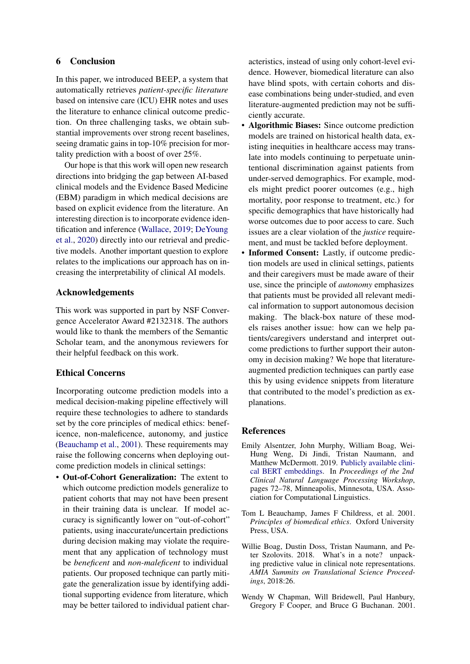## 6 Conclusion

In this paper, we introduced BEEP, a system that automatically retrieves *patient-specific literature* based on intensive care (ICU) EHR notes and uses the literature to enhance clinical outcome prediction. On three challenging tasks, we obtain substantial improvements over strong recent baselines, seeing dramatic gains in top-10% precision for mortality prediction with a boost of over 25%.

Our hope is that this work will open new research directions into bridging the gap between AI-based clinical models and the Evidence Based Medicine (EBM) paradigm in which medical decisions are based on explicit evidence from the literature. An interesting direction is to incorporate evidence identification and inference [\(Wallace,](#page-10-3) [2019;](#page-10-3) [DeYoung](#page-9-2) [et al.,](#page-9-2) [2020\)](#page-9-2) directly into our retrieval and predictive models. Another important question to explore relates to the implications our approach has on increasing the interpretability of clinical AI models.

# Acknowledgements

This work was supported in part by NSF Convergence Accelerator Award #2132318. The authors would like to thank the members of the Semantic Scholar team, and the anonymous reviewers for their helpful feedback on this work.

## Ethical Concerns

Incorporating outcome prediction models into a medical decision-making pipeline effectively will require these technologies to adhere to standards set by the core principles of medical ethics: beneficence, non-maleficence, autonomy, and justice [\(Beauchamp et al.,](#page-8-3) [2001\)](#page-8-3). These requirements may raise the following concerns when deploying outcome prediction models in clinical settings:

• Out-of-Cohort Generalization: The extent to which outcome prediction models generalize to patient cohorts that may not have been present in their training data is unclear. If model accuracy is significantly lower on "out-of-cohort" patients, using inaccurate/uncertain predictions during decision making may violate the requirement that any application of technology must be *beneficent* and *non-maleficent* to individual patients. Our proposed technique can partly mitigate the generalization issue by identifying additional supporting evidence from literature, which may be better tailored to individual patient char-

acteristics, instead of using only cohort-level evidence. However, biomedical literature can also have blind spots, with certain cohorts and disease combinations being under-studied, and even literature-augmented prediction may not be sufficiently accurate.

- Algorithmic Biases: Since outcome prediction models are trained on historical health data, existing inequities in healthcare access may translate into models continuing to perpetuate unintentional discrimination against patients from under-served demographics. For example, models might predict poorer outcomes (e.g., high mortality, poor response to treatment, etc.) for specific demographics that have historically had worse outcomes due to poor access to care. Such issues are a clear violation of the *justice* requirement, and must be tackled before deployment.
- Informed Consent: Lastly, if outcome prediction models are used in clinical settings, patients and their caregivers must be made aware of their use, since the principle of *autonomy* emphasizes that patients must be provided all relevant medical information to support autonomous decision making. The black-box nature of these models raises another issue: how can we help patients/caregivers understand and interpret outcome predictions to further support their autonomy in decision making? We hope that literatureaugmented prediction techniques can partly ease this by using evidence snippets from literature that contributed to the model's prediction as explanations.

## References

- <span id="page-8-2"></span>Emily Alsentzer, John Murphy, William Boag, Wei-Hung Weng, Di Jindi, Tristan Naumann, and Matthew McDermott. 2019. [Publicly available clini](https://doi.org/10.18653/v1/W19-1909)[cal BERT embeddings.](https://doi.org/10.18653/v1/W19-1909) In *Proceedings of the 2nd Clinical Natural Language Processing Workshop*, pages 72–78, Minneapolis, Minnesota, USA. Association for Computational Linguistics.
- <span id="page-8-3"></span>Tom L Beauchamp, James F Childress, et al. 2001. *Principles of biomedical ethics*. Oxford University Press, USA.
- <span id="page-8-0"></span>Willie Boag, Dustin Doss, Tristan Naumann, and Peter Szolovits. 2018. What's in a note? unpacking predictive value in clinical note representations. *AMIA Summits on Translational Science Proceedings*, 2018:26.
- <span id="page-8-1"></span>Wendy W Chapman, Will Bridewell, Paul Hanbury, Gregory F Cooper, and Bruce G Buchanan. 2001.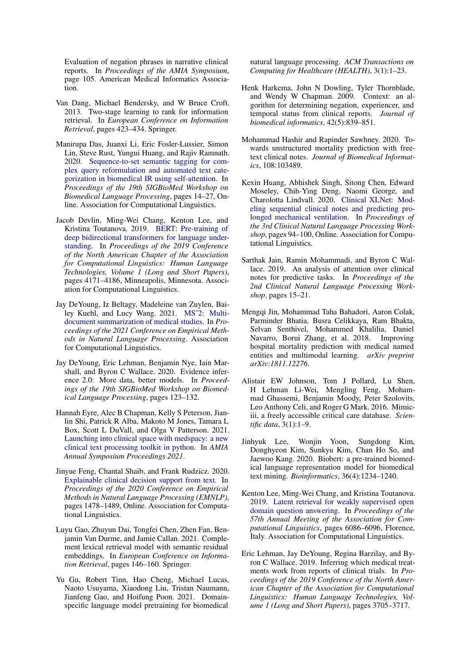Evaluation of negation phrases in narrative clinical reports. In *Proceedings of the AMIA Symposium*, page 105. American Medical Informatics Association.

- <span id="page-9-9"></span>Van Dang, Michael Bendersky, and W Bruce Croft. 2013. Two-stage learning to rank for information retrieval. In *European Conference on Information Retrieval*, pages 423–434. Springer.
- <span id="page-9-13"></span>Manirupa Das, Juanxi Li, Eric Fosler-Lussier, Simon Lin, Steve Rust, Yungui Huang, and Rajiv Ramnath. 2020. [Sequence-to-set semantic tagging for com](https://doi.org/10.18653/v1/2020.bionlp-1.2)[plex query reformulation and automated text cate](https://doi.org/10.18653/v1/2020.bionlp-1.2)[gorization in biomedical IR using self-attention.](https://doi.org/10.18653/v1/2020.bionlp-1.2) In *Proceedings of the 19th SIGBioMed Workshop on Biomedical Language Processing*, pages 14–27, Online. Association for Computational Linguistics.
- <span id="page-9-15"></span>Jacob Devlin, Ming-Wei Chang, Kenton Lee, and Kristina Toutanova. 2019. [BERT: Pre-training of](https://doi.org/10.18653/v1/N19-1423) [deep bidirectional transformers for language under](https://doi.org/10.18653/v1/N19-1423)[standing.](https://doi.org/10.18653/v1/N19-1423) In *Proceedings of the 2019 Conference of the North American Chapter of the Association for Computational Linguistics: Human Language Technologies, Volume 1 (Long and Short Papers)*, pages 4171–4186, Minneapolis, Minnesota. Association for Computational Linguistics.
- <span id="page-9-3"></span>Jay DeYoung, Iz Beltagy, Madeleine van Zuylen, Bailey Kuehl, and Lucy Wang. 2021. [MSˆ2: Multi](https://aclanthology.org/2021.emnlp-main.594)[document summarization of medical studies.](https://aclanthology.org/2021.emnlp-main.594) In *Proceedings of the 2021 Conference on Empirical Methods in Natural Language Processing*. Association for Computational Linguistics.
- <span id="page-9-2"></span>Jay DeYoung, Eric Lehman, Benjamin Nye, Iain Marshall, and Byron C Wallace. 2020. Evidence inference 2.0: More data, better models. In *Proceedings of the 19th SIGBioMed Workshop on Biomedical Language Processing*, pages 123–132.
- <span id="page-9-17"></span>Hannah Eyre, Alec B Chapman, Kelly S Peterson, Jianlin Shi, Patrick R Alba, Makoto M Jones, Tamara L Box, Scott L DuVall, and Olga V Patterson. 2021. [Launching into clinical space with medspacy: a new](http://arxiv.org/abs/2106.07799) [clinical text processing toolkit in python.](http://arxiv.org/abs/2106.07799) In *AMIA Annual Symposium Proceedings 2021*.
- <span id="page-9-6"></span>Jinyue Feng, Chantal Shaib, and Frank Rudzicz. 2020. [Explainable clinical decision support from text.](https://doi.org/10.18653/v1/2020.emnlp-main.115) In *Proceedings of the 2020 Conference on Empirical Methods in Natural Language Processing (EMNLP)*, pages 1478–1489, Online. Association for Computational Linguistics.
- <span id="page-9-11"></span>Luyu Gao, Zhuyun Dai, Tongfei Chen, Zhen Fan, Benjamin Van Durme, and Jamie Callan. 2021. Complement lexical retrieval model with semantic residual embeddings. In *European Conference on Information Retrieval*, pages 146–160. Springer.
- <span id="page-9-12"></span>Yu Gu, Robert Tinn, Hao Cheng, Michael Lucas, Naoto Usuyama, Xiaodong Liu, Tristan Naumann, Jianfeng Gao, and Hoifung Poon. 2021. Domainspecific language model pretraining for biomedical

natural language processing. *ACM Transactions on Computing for Healthcare (HEALTH)*, 3(1):1–23.

- <span id="page-9-10"></span>Henk Harkema, John N Dowling, Tyler Thornblade, and Wendy W Chapman. 2009. Context: an algorithm for determining negation, experiencer, and temporal status from clinical reports. *Journal of biomedical informatics*, 42(5):839–851.
- <span id="page-9-0"></span>Mohammad Hashir and Rapinder Sawhney. 2020. Towards unstructured mortality prediction with freetext clinical notes. *Journal of Biomedical Informatics*, 108:103489.
- <span id="page-9-7"></span>Kexin Huang, Abhishek Singh, Sitong Chen, Edward Moseley, Chih-Ying Deng, Naomi George, and Charolotta Lindvall. 2020. [Clinical XLNet: Mod](https://doi.org/10.18653/v1/2020.clinicalnlp-1.11)[eling sequential clinical notes and predicting pro](https://doi.org/10.18653/v1/2020.clinicalnlp-1.11)[longed mechanical ventilation.](https://doi.org/10.18653/v1/2020.clinicalnlp-1.11) In *Proceedings of the 3rd Clinical Natural Language Processing Workshop*, pages 94–100, Online. Association for Computational Linguistics.
- <span id="page-9-5"></span>Sarthak Jain, Ramin Mohammadi, and Byron C Wallace. 2019. An analysis of attention over clinical notes for predictive tasks. In *Proceedings of the 2nd Clinical Natural Language Processing Workshop*, pages 15–21.
- <span id="page-9-8"></span>Mengqi Jin, Mohammad Taha Bahadori, Aaron Colak, Parminder Bhatia, Busra Celikkaya, Ram Bhakta, Selvan Senthivel, Mohammed Khalilia, Daniel Navarro, Borui Zhang, et al. 2018. Improving hospital mortality prediction with medical named entities and multimodal learning. *arXiv preprint arXiv:1811.12276*.
- <span id="page-9-4"></span>Alistair EW Johnson, Tom J Pollard, Lu Shen, H Lehman Li-Wei, Mengling Feng, Mohammad Ghassemi, Benjamin Moody, Peter Szolovits, Leo Anthony Celi, and Roger G Mark. 2016. Mimiciii, a freely accessible critical care database. *Scientific data*, 3(1):1–9.
- <span id="page-9-14"></span>Jinhyuk Lee, Wonjin Yoon, Sungdong Kim, Donghyeon Kim, Sunkyu Kim, Chan Ho So, and Jaewoo Kang. 2020. Biobert: a pre-trained biomedical language representation model for biomedical text mining. *Bioinformatics*, 36(4):1234–1240.
- <span id="page-9-16"></span>Kenton Lee, Ming-Wei Chang, and Kristina Toutanova. 2019. [Latent retrieval for weakly supervised open](https://doi.org/10.18653/v1/P19-1612) [domain question answering.](https://doi.org/10.18653/v1/P19-1612) In *Proceedings of the 57th Annual Meeting of the Association for Computational Linguistics*, pages 6086–6096, Florence, Italy. Association for Computational Linguistics.
- <span id="page-9-1"></span>Eric Lehman, Jay DeYoung, Regina Barzilay, and Byron C Wallace. 2019. Inferring which medical treatments work from reports of clinical trials. In *Proceedings of the 2019 Conference of the North American Chapter of the Association for Computational Linguistics: Human Language Technologies, Volume 1 (Long and Short Papers)*, pages 3705–3717.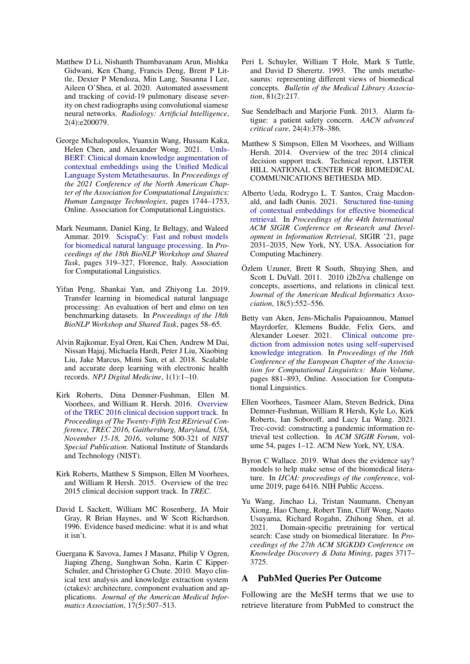- <span id="page-10-10"></span>Matthew D Li, Nishanth Thumbavanam Arun, Mishka Gidwani, Ken Chang, Francis Deng, Brent P Little, Dexter P Mendoza, Min Lang, Susanna I Lee, Aileen O'Shea, et al. 2020. Automated assessment and tracking of covid-19 pulmonary disease severity on chest radiographs using convolutional siamese neural networks. *Radiology: Artificial Intelligence*, 2(4):e200079.
- <span id="page-10-17"></span>George Michalopoulos, Yuanxin Wang, Hussam Kaka, Helen Chen, and Alexander Wong. 2021. [Umls-](https://doi.org/10.18653/v1/2021.naacl-main.139)[BERT: Clinical domain knowledge augmentation of](https://doi.org/10.18653/v1/2021.naacl-main.139) [contextual embeddings using the Unified Medical](https://doi.org/10.18653/v1/2021.naacl-main.139) [Language System Metathesaurus.](https://doi.org/10.18653/v1/2021.naacl-main.139) In *Proceedings of the 2021 Conference of the North American Chapter of the Association for Computational Linguistics: Human Language Technologies*, pages 1744–1753, Online. Association for Computational Linguistics.
- <span id="page-10-12"></span>Mark Neumann, Daniel King, Iz Beltagy, and Waleed Ammar. 2019. [ScispaCy: Fast and robust models](https://doi.org/10.18653/v1/W19-5034) [for biomedical natural language processing.](https://doi.org/10.18653/v1/W19-5034) In *Proceedings of the 18th BioNLP Workshop and Shared Task*, pages 319–327, Florence, Italy. Association for Computational Linguistics.
- <span id="page-10-16"></span>Yifan Peng, Shankai Yan, and Zhiyong Lu. 2019. Transfer learning in biomedical natural language processing: An evaluation of bert and elmo on ten benchmarking datasets. In *Proceedings of the 18th BioNLP Workshop and Shared Task*, pages 58–65.
- <span id="page-10-0"></span>Alvin Rajkomar, Eyal Oren, Kai Chen, Andrew M Dai, Nissan Hajaj, Michaela Hardt, Peter J Liu, Xiaobing Liu, Jake Marcus, Mimi Sun, et al. 2018. Scalable and accurate deep learning with electronic health records. *NPJ Digital Medicine*, 1(1):1–10.
- <span id="page-10-7"></span>Kirk Roberts, Dina Demner-Fushman, Ellen M. Voorhees, and William R. Hersh. 2016. [Overview](http://trec.nist.gov/pubs/trec25/papers/Overview-CL.pdf) [of the TREC 2016 clinical decision support track.](http://trec.nist.gov/pubs/trec25/papers/Overview-CL.pdf) In *Proceedings of The Twenty-Fifth Text REtrieval Conference, TREC 2016, Gaithersburg, Maryland, USA, November 15-18, 2016*, volume 500-321 of *NIST Special Publication*. National Institute of Standards and Technology (NIST).
- <span id="page-10-6"></span>Kirk Roberts, Matthew S Simpson, Ellen M Voorhees, and William R Hersh. 2015. Overview of the trec 2015 clinical decision support track. In *TREC*.
- <span id="page-10-2"></span>David L Sackett, William MC Rosenberg, JA Muir Gray, R Brian Haynes, and W Scott Richardson. 1996. Evidence based medicine: what it is and what it isn't.
- <span id="page-10-14"></span>Guergana K Savova, James J Masanz, Philip V Ogren, Jiaping Zheng, Sunghwan Sohn, Karin C Kipper-Schuler, and Christopher G Chute. 2010. Mayo clinical text analysis and knowledge extraction system (ctakes): architecture, component evaluation and applications. *Journal of the American Medical Informatics Association*, 17(5):507–513.
- <span id="page-10-18"></span>Peri L Schuyler, William T Hole, Mark S Tuttle, and David D Sherertz. 1993. The umls metathesaurus: representing different views of biomedical concepts. *Bulletin of the Medical Library Association*, 81(2):217.
- <span id="page-10-4"></span>Sue Sendelbach and Marjorie Funk. 2013. Alarm fatigue: a patient safety concern. *AACN advanced critical care*, 24(4):378–386.
- <span id="page-10-5"></span>Matthew S Simpson, Ellen M Voorhees, and William Hersh. 2014. Overview of the trec 2014 clinical decision support track. Technical report, LISTER HILL NATIONAL CENTER FOR BIOMEDICAL COMMUNICATIONS BETHESDA MD.
- <span id="page-10-8"></span>Alberto Ueda, Rodrygo L. T. Santos, Craig Macdonald, and Iadh Ounis. 2021. [Structured fine-tuning](https://doi.org/10.1145/3404835.3463075) [of contextual embeddings for effective biomedical](https://doi.org/10.1145/3404835.3463075) [retrieval.](https://doi.org/10.1145/3404835.3463075) In *Proceedings of the 44th International ACM SIGIR Conference on Research and Development in Information Retrieval*, SIGIR '21, page 2031–2035, New York, NY, USA. Association for Computing Machinery.
- <span id="page-10-15"></span>Özlem Uzuner, Brett R South, Shuying Shen, and Scott L DuVall. 2011. 2010 i2b2/va challenge on concepts, assertions, and relations in clinical text. *Journal of the American Medical Informatics Association*, 18(5):552–556.
- <span id="page-10-1"></span>Betty van Aken, Jens-Michalis Papaioannou, Manuel Mayrdorfer, Klemens Budde, Felix Gers, and Alexander Loeser. 2021. [Clinical outcome pre](https://doi.org/10.18653/v1/2021.eacl-main.75)[diction from admission notes using self-supervised](https://doi.org/10.18653/v1/2021.eacl-main.75) [knowledge integration.](https://doi.org/10.18653/v1/2021.eacl-main.75) In *Proceedings of the 16th Conference of the European Chapter of the Association for Computational Linguistics: Main Volume*, pages 881–893, Online. Association for Computational Linguistics.
- <span id="page-10-9"></span>Ellen Voorhees, Tasmeer Alam, Steven Bedrick, Dina Demner-Fushman, William R Hersh, Kyle Lo, Kirk Roberts, Ian Soboroff, and Lucy Lu Wang. 2021. Trec-covid: constructing a pandemic information retrieval test collection. In *ACM SIGIR Forum*, volume 54, pages 1–12. ACM New York, NY, USA.
- <span id="page-10-3"></span>Byron C Wallace. 2019. What does the evidence say? models to help make sense of the biomedical literature. In *IJCAI: proceedings of the conference*, volume 2019, page 6416. NIH Public Access.
- <span id="page-10-11"></span>Yu Wang, Jinchao Li, Tristan Naumann, Chenyan Xiong, Hao Cheng, Robert Tinn, Cliff Wong, Naoto Usuyama, Richard Rogahn, Zhihong Shen, et al. 2021. Domain-specific pretraining for vertical search: Case study on biomedical literature. In *Proceedings of the 27th ACM SIGKDD Conference on Knowledge Discovery & Data Mining*, pages 3717– 3725.

## <span id="page-10-13"></span>A PubMed Queries Per Outcome

Following are the MeSH terms that we use to retrieve literature from PubMed to construct the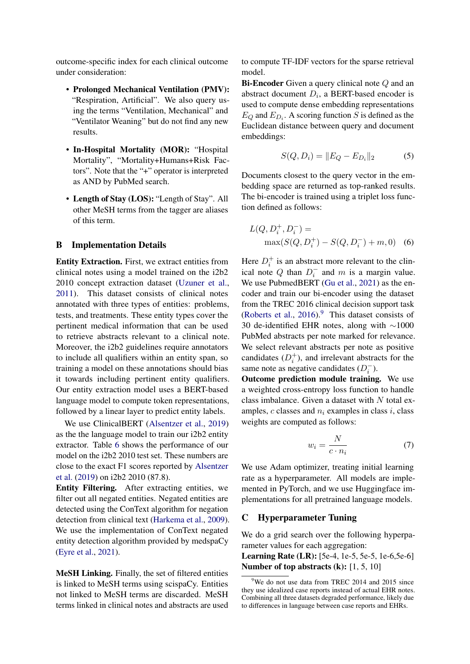outcome-specific index for each clinical outcome under consideration:

- Prolonged Mechanical Ventilation (PMV): "Respiration, Artificial". We also query using the terms "Ventilation, Mechanical" and "Ventilator Weaning" but do not find any new results.
- In-Hospital Mortality (MOR): "Hospital Mortality", "Mortality+Humans+Risk Factors". Note that the "+" operator is interpreted as AND by PubMed search.
- Length of Stay (LOS): "Length of Stay". All other MeSH terms from the tagger are aliases of this term.

## <span id="page-11-0"></span>B Implementation Details

Entity Extraction. First, we extract entities from clinical notes using a model trained on the i2b2 2010 concept extraction dataset [\(Uzuner et al.,](#page-10-15) [2011\)](#page-10-15). This dataset consists of clinical notes annotated with three types of entities: problems, tests, and treatments. These entity types cover the pertinent medical information that can be used to retrieve abstracts relevant to a clinical note. Moreover, the i2b2 guidelines require annotators to include all qualifiers within an entity span, so training a model on these annotations should bias it towards including pertinent entity qualifiers. Our entity extraction model uses a BERT-based language model to compute token representations, followed by a linear layer to predict entity labels.

We use ClinicalBERT [\(Alsentzer et al.,](#page-8-2) [2019\)](#page-8-2) as the the language model to train our i2b2 entity extractor. Table [6](#page-12-3) shows the performance of our model on the i2b2 2010 test set. These numbers are close to the exact F1 scores reported by [Alsentzer](#page-8-2) [et al.](#page-8-2) [\(2019\)](#page-8-2) on i2b2 2010 (87.8).

Entity Filtering. After extracting entities, we filter out all negated entities. Negated entities are detected using the ConText algorithm for negation detection from clinical text [\(Harkema et al.,](#page-9-10) [2009\)](#page-9-10). We use the implementation of ConText negated entity detection algorithm provided by medspaCy [\(Eyre et al.,](#page-9-17) [2021\)](#page-9-17).

MeSH Linking. Finally, the set of filtered entities is linked to MeSH terms using scispaCy. Entities not linked to MeSH terms are discarded. MeSH terms linked in clinical notes and abstracts are used to compute TF-IDF vectors for the sparse retrieval model.

Bi-Encoder Given a query clinical note Q and an abstract document  $D_i$ , a BERT-based encoder is used to compute dense embedding representations  $E_Q$  and  $E_{D_i}$ . A scoring function S is defined as the Euclidean distance between query and document embeddings:

$$
S(Q, D_i) = ||E_Q - E_{D_i}||_2 \tag{5}
$$

Documents closest to the query vector in the embedding space are returned as top-ranked results. The bi-encoder is trained using a triplet loss function defined as follows:

$$
L(Q, D_i^+, D_i^-) =
$$
  
max $(S(Q, D_i^+) - S(Q, D_i^-) + m, 0)$  (6)

Here  $D_i^+$  is an abstract more relevant to the clinical note Q than  $D_i^-$  and m is a margin value. We use PubmedBERT [\(Gu et al.,](#page-9-12) [2021\)](#page-9-12) as the encoder and train our bi-encoder using the dataset from the TREC 2016 clinical decision support task [\(Roberts et al.,](#page-10-7) [2016\)](#page-10-7). $9$  This dataset consists of 30 de-identified EHR notes, along with ∼1000 PubMed abstracts per note marked for relevance. We select relevant abstracts per note as positive candidates  $(D_i^+)$ , and irrelevant abstracts for the same note as negative candidates  $(D_i^-)$ .

Outcome prediction module training. We use a weighted cross-entropy loss function to handle class imbalance. Given a dataset with  $N$  total examples,  $c$  classes and  $n_i$  examples in class i, class weights are computed as follows:

$$
w_i = \frac{N}{c \cdot n_i} \tag{7}
$$

We use Adam optimizer, treating initial learning rate as a hyperparameter. All models are implemented in PyTorch, and we use Huggingface implementations for all pretrained language models.

## <span id="page-11-1"></span>C Hyperparameter Tuning

We do a grid search over the following hyperparameter values for each aggregation:

Learning Rate (LR): [5e-4, 1e-5, 5e-5, 1e-6,5e-6] Number of top abstracts (k): [1, 5, 10]

<span id="page-11-2"></span> $9$ We do not use data from TREC 2014 and 2015 since they use idealized case reports instead of actual EHR notes. Combining all three datasets degraded performance, likely due to differences in language between case reports and EHRs.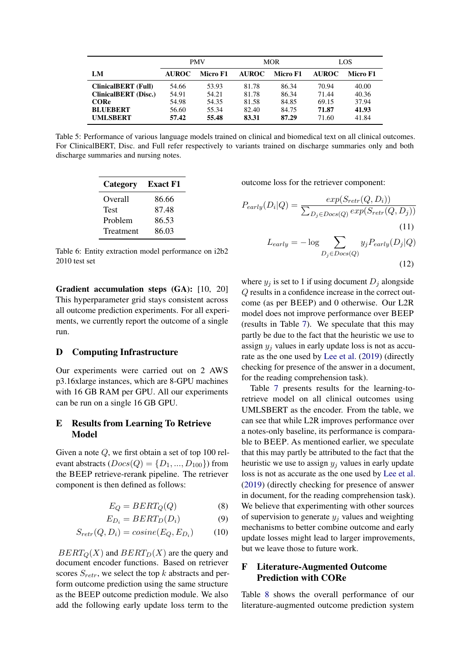<span id="page-12-0"></span>

|                             | <b>PMV</b>               |       |              | <b>MOR</b> | LOS          |          |
|-----------------------------|--------------------------|-------|--------------|------------|--------------|----------|
| LM                          | <b>AUROC</b><br>Micro F1 |       | <b>AUROC</b> | Micro F1   | <b>AUROC</b> | Micro F1 |
| <b>ClinicalBERT</b> (Full)  | 54.66                    | 53.93 | 81.78        | 86.34      | 70.94        | 40.00    |
| <b>ClinicalBERT</b> (Disc.) | 54.91                    | 54.21 | 81.78        | 86.34      | 71.44        | 40.36    |
| <b>CORe</b>                 | 54.98                    | 54.35 | 81.58        | 84.85      | 69.15        | 37.94    |
| <b>BLUEBERT</b>             | 56.60                    | 55.34 | 82.40        | 84.75      | 71.87        | 41.93    |
| <b>UMLSBERT</b>             | 57.42                    | 55.48 | 83.31        | 87.29      | 71.60        | 41.84    |

<span id="page-12-3"></span>Table 5: Performance of various language models trained on clinical and biomedical text on all clinical outcomes. For ClinicalBERT, Disc. and Full refer respectively to variants trained on discharge summaries only and both discharge summaries and nursing notes.

| Category    | <b>Exact F1</b> |
|-------------|-----------------|
| Overall     | 86.66           |
| <b>Test</b> | 87.48           |
| Problem     | 86.53           |
| Treatment   | 86.03           |

Table 6: Entity extraction model performance on i2b2 2010 test set

Gradient accumulation steps (GA): [10, 20] This hyperparameter grid stays consistent across all outcome prediction experiments. For all experiments, we currently report the outcome of a single run.

## D Computing Infrastructure

Our experiments were carried out on 2 AWS p3.16xlarge instances, which are 8-GPU machines with 16 GB RAM per GPU. All our experiments can be run on a single 16 GB GPU.

# <span id="page-12-2"></span>E Results from Learning To Retrieve Model

Given a note Q, we first obtain a set of top 100 relevant abstracts  $(Docs(Q) = \{D_1, ..., D_{100}\})$  from the BEEP retrieve-rerank pipeline. The retriever component is then defined as follows:

$$
E_Q = BERT_Q(Q)
$$
 (8)

$$
E_{D_i} = BERT_D(D_i) \tag{9}
$$

$$
S_{retr}(Q, D_i) = cosine(E_Q, E_{D_i})
$$
 (10)

 $BERT_Q(X)$  and  $BERT_D(X)$  are the query and document encoder functions. Based on retriever scores  $S_{retr}$ , we select the top k abstracts and perform outcome prediction using the same structure as the BEEP outcome prediction module. We also add the following early update loss term to the

outcome loss for the retriever component:

$$
P_{early}(D_i|Q) = \frac{exp(S_{retr}(Q, D_i))}{\sum_{D_j \in Docs(Q)} exp(S_{retr}(Q, D_j))}
$$
\n(11)  
\n
$$
L_{early} = -\log \sum_{D_j \in Docs(Q)} y_j P_{early}(D_j|Q)
$$

$$
(12)
$$

where  $y_i$  is set to 1 if using document  $D_i$  alongside Q results in a confidence increase in the correct outcome (as per BEEP) and 0 otherwise. Our L2R model does not improve performance over BEEP (results in Table [7\)](#page-13-2). We speculate that this may partly be due to the fact that the heuristic we use to assign  $y_i$  values in early update loss is not as accurate as the one used by [Lee et al.](#page-9-16) [\(2019\)](#page-9-16) (directly checking for presence of the answer in a document, for the reading comprehension task).

Table [7](#page-13-2) presents results for the learning-toretrieve model on all clinical outcomes using UMLSBERT as the encoder. From the table, we can see that while L2R improves performance over a notes-only baseline, its performance is comparable to BEEP. As mentioned earlier, we speculate that this may partly be attributed to the fact that the heuristic we use to assign  $y_i$  values in early update loss is not as accurate as the one used by [Lee et al.](#page-9-16) [\(2019\)](#page-9-16) (directly checking for presence of answer in document, for the reading comprehension task). We believe that experimenting with other sources of supervision to generate  $y_i$  values and weighting mechanisms to better combine outcome and early update losses might lead to larger improvements, but we leave those to future work.

# <span id="page-12-1"></span>F Literature-Augmented Outcome Prediction with CORe

Table [8](#page-13-1) shows the overall performance of our literature-augmented outcome prediction system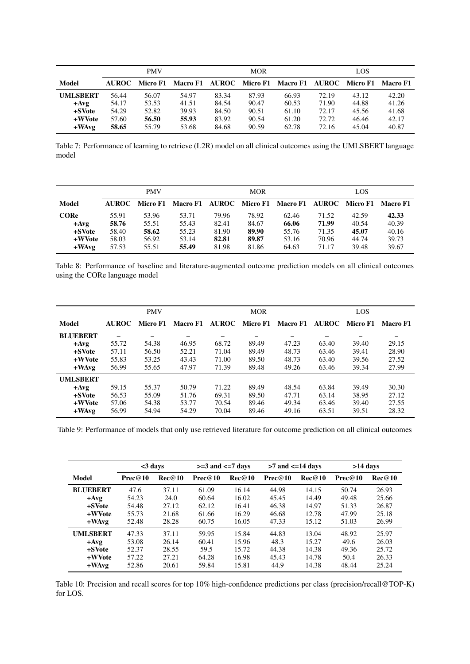<span id="page-13-2"></span>

|                 | <b>PMV</b> |       |       | <b>MOR</b> |       |                                                                         | LOS   |       |       |
|-----------------|------------|-------|-------|------------|-------|-------------------------------------------------------------------------|-------|-------|-------|
| Model           |            |       |       |            |       | AUROC Micro F1 Macro F1 AUROC Micro F1 Macro F1 AUROC Micro F1 Macro F1 |       |       |       |
| <b>UMLSBERT</b> | 56.44      | 56.07 | 54.97 | 83.34      | 87.93 | 66.93                                                                   | 72.19 | 43.12 | 42.20 |
| $+Avg$          | 54.17      | 53.53 | 41.51 | 84.54      | 90.47 | 60.53                                                                   | 71.90 | 44.88 | 41.26 |
| +SVote          | 54.29      | 52.82 | 39.93 | 84.50      | 90.51 | 61.10                                                                   | 72.17 | 45.56 | 41.68 |
| +WVote          | 57.60      | 56.50 | 55.93 | 83.92      | 90.54 | 61.20                                                                   | 72.72 | 46.46 | 42.17 |
| $+$ WAvg        | 58.65      | 55.79 | 53.68 | 84.68      | 90.59 | 62.78                                                                   | 72.16 | 45.04 | 40.87 |

Table 7: Performance of learning to retrieve (L2R) model on all clinical outcomes using the UMLSBERT language model

<span id="page-13-1"></span>

|                                              | <b>PMV</b>                       |                                  |                                                                | <b>MOR</b>                       |                                  |                                  | LOS                              |                                  |                                  |
|----------------------------------------------|----------------------------------|----------------------------------|----------------------------------------------------------------|----------------------------------|----------------------------------|----------------------------------|----------------------------------|----------------------------------|----------------------------------|
| Model                                        |                                  |                                  | AUROC Micro F1 Macro F1 AUROC Micro F1 Macro F1 AUROC Micro F1 |                                  |                                  |                                  |                                  |                                  | <b>Macro F1</b>                  |
| <b>CORe</b><br>$+Avg$<br>$+$ SVote<br>+WVote | 55.91<br>58.76<br>58.40<br>58.03 | 53.96<br>55.51<br>58.62<br>56.92 | 53.71<br>55.43<br>55.23<br>53.14                               | 79.96<br>82.41<br>81.90<br>82.81 | 78.92<br>84.67<br>89.90<br>89.87 | 62.46<br>66.06<br>55.76<br>53.16 | 71.52<br>71.99<br>71.35<br>70.96 | 42.59<br>40.54<br>45.07<br>44.74 | 42.33<br>40.39<br>40.16<br>39.73 |
| $+$ WAvg                                     | 57.53                            | 55.51                            | 55.49                                                          | 81.98                            | 81.86                            | 64.63                            | 71.17                            | 39.48                            | 39.67                            |

Table 8: Performance of baseline and literature-augmented outcome prediction models on all clinical outcomes using the CORe language model

<span id="page-13-3"></span>

|                 | <b>PMV</b>   |          |                 | <b>MOR</b> |       |                               | LOS   |          |          |
|-----------------|--------------|----------|-----------------|------------|-------|-------------------------------|-------|----------|----------|
| Model           | <b>AUROC</b> | Micro F1 | <b>Macro F1</b> |            |       | AUROC Micro F1 Macro F1 AUROC |       | Micro F1 | Macro F1 |
| <b>BLUEBERT</b> |              |          |                 |            |       |                               |       |          |          |
| $+Avg$          | 55.72        | 54.38    | 46.95           | 68.72      | 89.49 | 47.23                         | 63.40 | 39.40    | 29.15    |
| +SVote          | 57.11        | 56.50    | 52.21           | 71.04      | 89.49 | 48.73                         | 63.46 | 39.41    | 28.90    |
| +WVote          | 55.83        | 53.25    | 43.43           | 71.00      | 89.50 | 48.73                         | 63.40 | 39.56    | 27.52    |
| $+$ WAvg        | 56.99        | 55.65    | 47.97           | 71.39      | 89.48 | 49.26                         | 63.46 | 39.34    | 27.99    |
| <b>UMLSBERT</b> |              |          |                 |            |       |                               |       |          |          |
| $+Avg$          | 59.15        | 55.37    | 50.79           | 71.22      | 89.49 | 48.54                         | 63.84 | 39.49    | 30.30    |
| +SVote          | 56.53        | 55.09    | 51.76           | 69.31      | 89.50 | 47.71                         | 63.14 | 38.95    | 27.12    |
| +WVote          | 57.06        | 54.38    | 53.77           | 70.54      | 89.46 | 49.34                         | 63.46 | 39.40    | 27.55    |
| $+$ WAvg        | 56.99        | 54.94    | 54.29           | 70.04      | 89.46 | 49.16                         | 63.51 | 39.51    | 28.32    |

Table 9: Performance of models that only use retrieved literature for outcome prediction on all clinical outcomes

<span id="page-13-0"></span>

|                 |         | $<$ 3 days |         | $>=$ 3 and $<=$ 7 days |         | $>7$ and $\leq$ =14 days |         | >14 days |  |
|-----------------|---------|------------|---------|------------------------|---------|--------------------------|---------|----------|--|
| Model           | Prec@10 | Rec@10     | Prec@10 | Rec@10                 | Prec@10 | Rec@10                   | Prec@10 | Rec@10   |  |
| <b>BLUEBERT</b> | 47.6    | 37.11      | 61.09   | 16.14                  | 44.98   | 14.15                    | 50.74   | 26.93    |  |
| $+Avg$          | 54.23   | 24.0       | 60.64   | 16.02                  | 45.45   | 14.49                    | 49.48   | 25.66    |  |
| +SVote          | 54.48   | 27.12      | 62.12   | 16.41                  | 46.38   | 14.97                    | 51.33   | 26.87    |  |
| +WVote          | 55.73   | 21.68      | 61.66   | 16.29                  | 46.68   | 12.78                    | 47.99   | 25.18    |  |
| $+$ WAvg        | 52.48   | 28.28      | 60.75   | 16.05                  | 47.33   | 15.12                    | 51.03   | 26.99    |  |
| <b>UMLSBERT</b> | 47.33   | 37.11      | 59.95   | 15.84                  | 44.83   | 13.04                    | 48.92   | 25.97    |  |
| $+Avg$          | 53.08   | 26.14      | 60.41   | 15.96                  | 48.3    | 15.27                    | 49.6    | 26.03    |  |
| +SVote          | 52.37   | 28.55      | 59.5    | 15.72                  | 44.38   | 14.38                    | 49.36   | 25.72    |  |
| +WVote          | 57.22   | 27.21      | 64.28   | 16.98                  | 45.43   | 14.78                    | 50.4    | 26.33    |  |
| $+$ WAvg        | 52.86   | 20.61      | 59.84   | 15.81                  | 44.9    | 14.38                    | 48.44   | 25.24    |  |

Table 10: Precision and recall scores for top 10% high-confidence predictions per class (precision/recall@TOP-K) for LOS.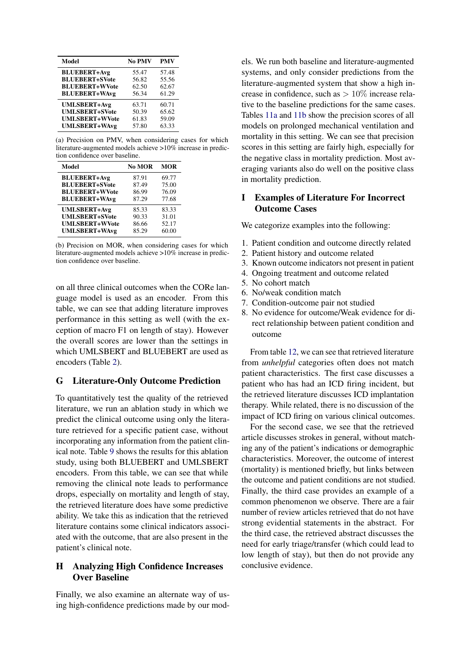<span id="page-14-3"></span>

| <b>Model</b>          | No PMV | <b>PMV</b> |
|-----------------------|--------|------------|
| <b>BLUEBERT+Avg</b>   | 55.47  | 57.48      |
| <b>BLUEBERT+SVote</b> | 56.82  | 55.56      |
| <b>BLUEBERT+WVote</b> | 62.50  | 62.67      |
| <b>BLUEBERT+WAvg</b>  | 56.34  | 61.29      |
| <b>UMLSBERT+Avg</b>   | 63.71  | 60.71      |
| <b>UMLSBERT+SVote</b> | 50.39  | 65.62      |
| <b>UMLSBERT+WVote</b> | 61.83  | 59.09      |
| <b>UMLSBERT+WAvg</b>  | 57.80  | 63.33      |

(a) Precision on PMV, when considering cases for which literature-augmented models achieve >10% increase in prediction confidence over baseline.

| Model                 | No MOR | <b>MOR</b> |
|-----------------------|--------|------------|
| <b>BLUEBERT+Avg</b>   | 87.91  | 69.77      |
| <b>BLUEBERT+SVote</b> | 87.49  | 75.00      |
| <b>BLUEBERT+WVote</b> | 86.99  | 76.09      |
| <b>BLUEBERT+WAvg</b>  | 87.29  | 77.68      |
| <b>UMLSBERT+Avg</b>   | 85.33  | 83.33      |
| <b>UMLSBERT+SVote</b> | 90.33  | 31.01      |
| <b>UMLSBERT+WVote</b> | 86.66  | 52.17      |
| <b>UMLSBERT+WAvg</b>  | 85.29  | 60.00      |

(b) Precision on MOR, when considering cases for which literature-augmented models achieve >10% increase in prediction confidence over baseline.

on all three clinical outcomes when the CORe language model is used as an encoder. From this table, we can see that adding literature improves performance in this setting as well (with the exception of macro F1 on length of stay). However the overall scores are lower than the settings in which UMLSBERT and BLUEBERT are used as encoders (Table [2\)](#page-5-1).

# <span id="page-14-1"></span>G Literature-Only Outcome Prediction

To quantitatively test the quality of the retrieved literature, we run an ablation study in which we predict the clinical outcome using only the literature retrieved for a specific patient case, without incorporating any information from the patient clinical note. Table [9](#page-13-3) shows the results for this ablation study, using both BLUEBERT and UMLSBERT encoders. From this table, we can see that while removing the clinical note leads to performance drops, especially on mortality and length of stay, the retrieved literature does have some predictive ability. We take this as indication that the retrieved literature contains some clinical indicators associated with the outcome, that are also present in the patient's clinical note.

# <span id="page-14-0"></span>H Analyzing High Confidence Increases Over Baseline

Finally, we also examine an alternate way of using high-confidence predictions made by our models. We run both baseline and literature-augmented systems, and only consider predictions from the literature-augmented system that show a high increase in confidence, such as  $> 10\%$  increase relative to the baseline predictions for the same cases. Tables [11a](#page-14-3) and [11b](#page-14-3) show the precision scores of all models on prolonged mechanical ventilation and mortality in this setting. We can see that precision scores in this setting are fairly high, especially for the negative class in mortality prediction. Most averaging variants also do well on the positive class in mortality prediction.

# <span id="page-14-2"></span>I Examples of Literature For Incorrect Outcome Cases

We categorize examples into the following:

- 1. Patient condition and outcome directly related
- 2. Patient history and outcome related
- 3. Known outcome indicators not present in patient
- 4. Ongoing treatment and outcome related
- 5. No cohort match
- 6. No/weak condition match
- 7. Condition-outcome pair not studied
- 8. No evidence for outcome/Weak evidence for direct relationship between patient condition and outcome

From table [12,](#page-15-1) we can see that retrieved literature from *unhelpful* categories often does not match patient characteristics. The first case discusses a patient who has had an ICD firing incident, but the retrieved literature discusses ICD implantation therapy. While related, there is no discussion of the impact of ICD firing on various clinical outcomes.

For the second case, we see that the retrieved article discusses strokes in general, without matching any of the patient's indications or demographic characteristics. Moreover, the outcome of interest (mortality) is mentioned briefly, but links between the outcome and patient conditions are not studied. Finally, the third case provides an example of a common phenomenon we observe. There are a fair number of review articles retrieved that do not have strong evidential statements in the abstract. For the third case, the retrieved abstract discusses the need for early triage/transfer (which could lead to low length of stay), but then do not provide any conclusive evidence.